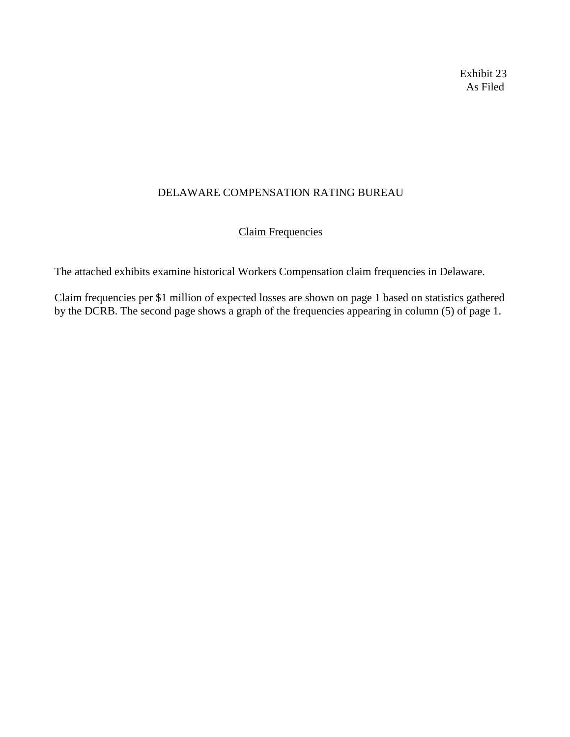Exhibit 23 As Filed

## DELAWARE COMPENSATION RATING BUREAU

## Claim Frequencies

The attached exhibits examine historical Workers Compensation claim frequencies in Delaware.

Claim frequencies per \$1 million of expected losses are shown on page 1 based on statistics gathered by the DCRB. The second page shows a graph of the frequencies appearing in column (5) of page 1.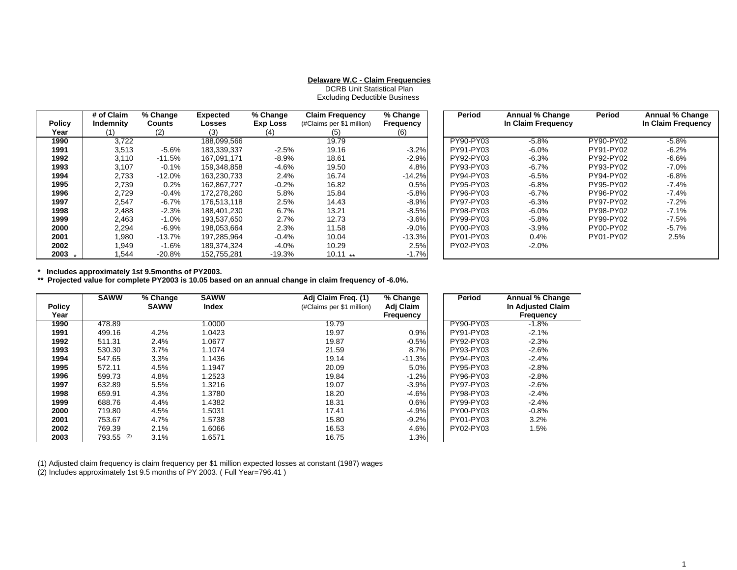## **Delaware W.C - Claim Frequencies**

DCRB Unit Statistical PlanExcluding Deductible Business

|               | # of Claim | % Change      | <b>Expected</b> | % Change | <b>Claim Frequency</b>    | % Change  | Period    | <b>Annual % Change</b> | Period    | Annual % Change    |
|---------------|------------|---------------|-----------------|----------|---------------------------|-----------|-----------|------------------------|-----------|--------------------|
| <b>Policy</b> | Indemnity  | <b>Counts</b> | Losses          | Exp Loss | (#Claims per \$1 million) | Frequency |           | In Claim Frequency     |           | In Claim Frequency |
| Year          | (1)        | (2)           | (3)             | (4)      | (5)                       | (6)       |           |                        |           |                    |
| 1990          | 3.722      |               | 188.099.566     |          | 19.79                     |           | PY90-PY03 | $-5.8%$                | PY90-PY02 | $-5.8%$            |
| 1991          | 3,513      | $-5.6%$       | 183,339,337     | $-2.5%$  | 19.16                     | $-3.2%$   | PY91-PY03 | $-6.0\%$               | PY91-PY02 | $-6.2%$            |
| 1992          | 3,110      | $-11.5%$      | 167.091.171     | -8.9%    | 18.61                     | $-2.9%$   | PY92-PY03 | $-6.3%$                | PY92-PY02 | $-6.6%$            |
| 1993          | 3,107      | $-0.1\%$      | 159.348.858     | -4.6%    | 19.50                     | 4.8%      | PY93-PY03 | $-6.7\%$               | PY93-PY02 | $-7.0\%$           |
| 1994          | 2,733      | $-12.0%$      | 163.230.733     | 2.4%     | 16.74                     | $-14.2%$  | PY94-PY03 | $-6.5%$                | PY94-PY02 | $-6.8%$            |
| 1995          | 2,739      | 0.2%          | 162.867.727     | $-0.2%$  | 16.82                     | 0.5%      | PY95-PY03 | $-6.8\%$               | PY95-PY02 | $-7.4%$            |
| 1996          | 2,729      | -0.4%         | 172.278.260     | 5.8%     | 15.84                     | $-5.8%$   | PY96-PY03 | $-6.7\%$               | PY96-PY02 | $-7.4%$            |
| 1997          | 2,547      | -6.7%         | 176.513.118     | 2.5%     | 14.43                     | $-8.9%$   | PY97-PY03 | $-6.3%$                | PY97-PY02 | $-7.2%$            |
| 1998          | 2,488      | $-2.3%$       | 188.401.230     | 6.7%     | 13.21                     | $-8.5%$   | PY98-PY03 | $-6.0\%$               | PY98-PY02 | $-7.1\%$           |
| 1999          | 2,463      | $-1.0\%$      | 193.537.650     | 2.7%     | 12.73                     | $-3.6%$   | PY99-PY03 | $-5.8%$                | PY99-PY02 | $-7.5%$            |
| 2000          | 2,294      | $-6.9\%$      | 198,053,664     | 2.3%     | 11.58                     | $-9.0%$   | PY00-PY03 | -3.9%                  | PY00-PY02 | $-5.7%$            |
| 2001          | 1,980      | $-13.7%$      | 197.285.964     | $-0.4%$  | 10.04                     | $-13.3\%$ | PY01-PY03 | $0.4\%$                | PY01-PY02 | 2.5%               |
| 2002          | 1,949      | $-1.6%$       | 189.374.324     | $-4.0\%$ | 10.29                     | 2.5%      | PY02-PY03 | $-2.0\%$               |           |                    |
| 2003          | .544       | $-20.8%$      | 152.755.281     | $-19.3%$ | $10.11**$                 | $-1.7%$   |           |                        |           |                    |

**\* Includes approximately 1st 9.5months of PY2003.**

**\*\* Projected value for complete PY2003 is 10.05 based on an annual change in claim frequency of -6.0%.**

|               | <b>SAWW</b>   | % Change    | <b>SAWW</b> | Adj Claim Freq. (1)       | % Change  | Period    | Annual % Change          |
|---------------|---------------|-------------|-------------|---------------------------|-----------|-----------|--------------------------|
| <b>Policy</b> |               | <b>SAWW</b> | Index       | (#Claims per \$1 million) | Adj Claim |           | <b>In Adjusted Claim</b> |
| Year          |               |             |             |                           | Frequency |           | <b>Frequency</b>         |
| 1990          | 478.89        |             | 1.0000      | 19.79                     |           | PY90-PY03 | $-1.8%$                  |
| 1991          | 499.16        | 4.2%        | 1.0423      | 19.97                     | 0.9%      | PY91-PY03 | $-2.1%$                  |
| 1992          | 511.31        | 2.4%        | 1.0677      | 19.87                     | $-0.5%$   | PY92-PY03 | $-2.3%$                  |
| 1993          | 530.30        | 3.7%        | 1.1074      | 21.59                     | 8.7%      | PY93-PY03 | $-2.6%$                  |
| 1994          | 547.65        | 3.3%        | 1.1436      | 19.14                     | $-11.3%$  | PY94-PY03 | $-2.4%$                  |
| 1995          | 572.11        | 4.5%        | 1.1947      | 20.09                     | 5.0%      | PY95-PY03 | $-2.8%$                  |
| 1996          | 599.73        | 4.8%        | 1.2523      | 19.84                     | $-1.2%$   | PY96-PY03 | $-2.8%$                  |
| 1997          | 632.89        | 5.5%        | 1.3216      | 19.07                     | $-3.9%$   | PY97-PY03 | $-2.6%$                  |
| 1998          | 659.91        | 4.3%        | 1.3780      | 18.20                     | $-4.6%$   | PY98-PY03 | $-2.4%$                  |
| 1999          | 688.76        | 4.4%        | 1.4382      | 18.31                     | 0.6%      | PY99-PY03 | $-2.4%$                  |
| 2000          | 719.80        | 4.5%        | 1.5031      | 17.41                     | $-4.9%$   | PY00-PY03 | $-0.8%$                  |
| 2001          | 753.67        | 4.7%        | 1.5738      | 15.80                     | $-9.2%$   | PY01-PY03 | 3.2%                     |
| 2002          | 769.39        | 2.1%        | 1.6066      | 16.53                     | 4.6%      | PY02-PY03 | 1.5%                     |
| 2003          | 793.55<br>(2) | 3.1%        | 1.6571      | 16.75                     | 1.3%      |           |                          |

(1) Adjusted claim frequency is claim frequency per \$1 million expected losses at constant (1987) wages

(2) Includes approximately 1st 9.5 months of PY 2003. ( Full Year=796.41 )